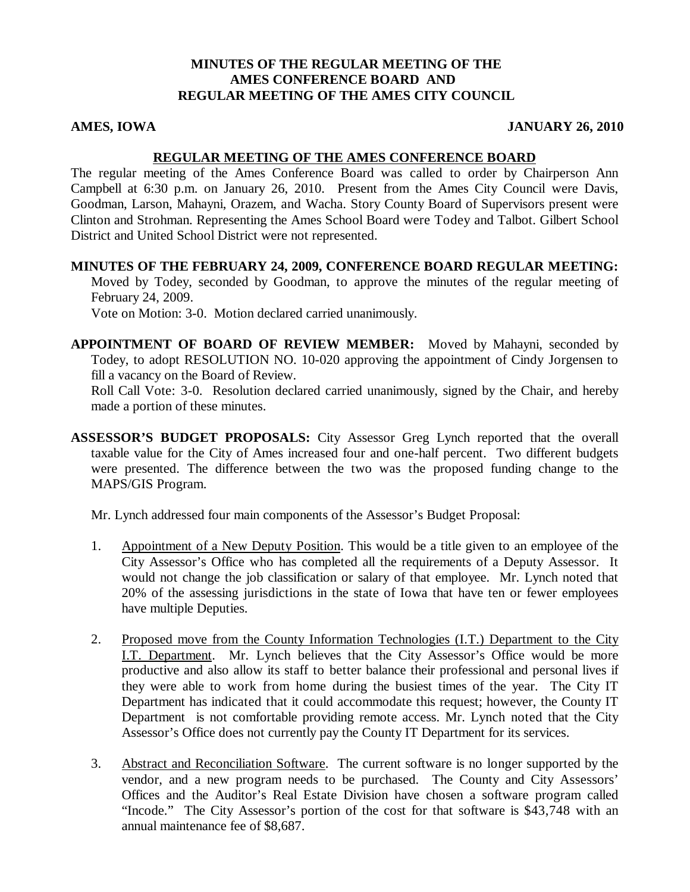## **MINUTES OF THE REGULAR MEETING OF THE AMES CONFERENCE BOARD AND REGULAR MEETING OF THE AMES CITY COUNCIL**

### **AMES, IOWA JANUARY 26, 2010**

#### **REGULAR MEETING OF THE AMES CONFERENCE BOARD**

The regular meeting of the Ames Conference Board was called to order by Chairperson Ann Campbell at 6:30 p.m. on January 26, 2010. Present from the Ames City Council were Davis, Goodman, Larson, Mahayni, Orazem, and Wacha. Story County Board of Supervisors present were Clinton and Strohman. Representing the Ames School Board were Todey and Talbot. Gilbert School District and United School District were not represented.

**MINUTES OF THE FEBRUARY 24, 2009, CONFERENCE BOARD REGULAR MEETING:** Moved by Todey, seconded by Goodman, to approve the minutes of the regular meeting of February 24, 2009. Vote on Motion: 3-0. Motion declared carried unanimously.

**APPOINTMENT OF BOARD OF REVIEW MEMBER:** Moved by Mahayni, seconded by Todey, to adopt RESOLUTION NO. 10-020 approving the appointment of Cindy Jorgensen to fill a vacancy on the Board of Review.

Roll Call Vote: 3-0. Resolution declared carried unanimously, signed by the Chair, and hereby made a portion of these minutes.

**ASSESSOR'S BUDGET PROPOSALS:** City Assessor Greg Lynch reported that the overall taxable value for the City of Ames increased four and one-half percent. Two different budgets were presented. The difference between the two was the proposed funding change to the MAPS/GIS Program.

Mr. Lynch addressed four main components of the Assessor's Budget Proposal:

- 1. Appointment of a New Deputy Position. This would be a title given to an employee of the City Assessor's Office who has completed all the requirements of a Deputy Assessor. It would not change the job classification or salary of that employee. Mr. Lynch noted that 20% of the assessing jurisdictions in the state of Iowa that have ten or fewer employees have multiple Deputies.
- 2. Proposed move from the County Information Technologies (I.T.) Department to the City I.T. Department. Mr. Lynch believes that the City Assessor's Office would be more productive and also allow its staff to better balance their professional and personal lives if they were able to work from home during the busiest times of the year. The City IT Department has indicated that it could accommodate this request; however, the County IT Department is not comfortable providing remote access. Mr. Lynch noted that the City Assessor's Office does not currently pay the County IT Department for its services.
- 3. Abstract and Reconciliation Software. The current software is no longer supported by the vendor, and a new program needs to be purchased. The County and City Assessors' Offices and the Auditor's Real Estate Division have chosen a software program called "Incode." The City Assessor's portion of the cost for that software is \$43,748 with an annual maintenance fee of \$8,687.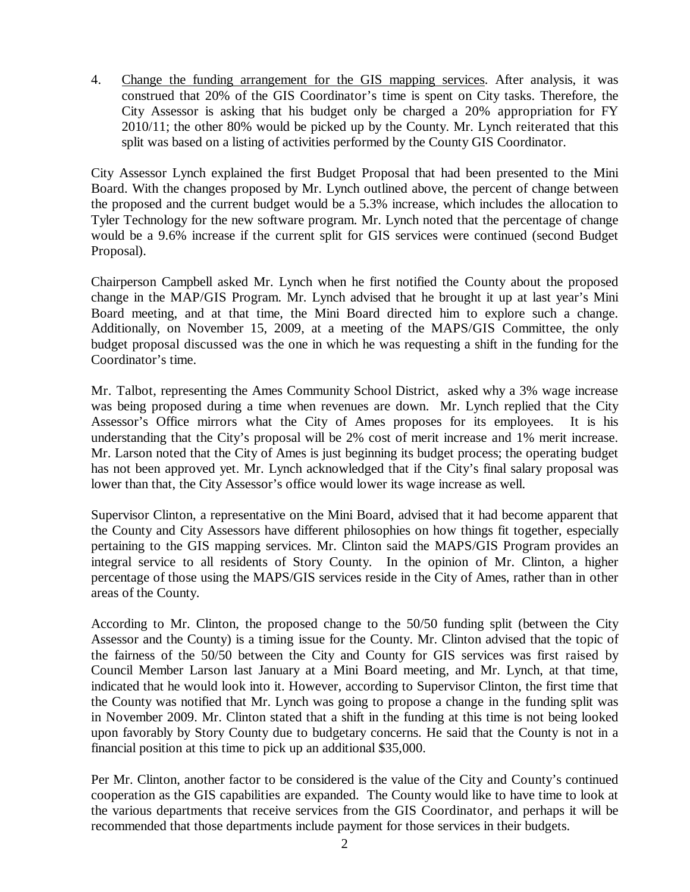4. Change the funding arrangement for the GIS mapping services. After analysis, it was construed that 20% of the GIS Coordinator's time is spent on City tasks. Therefore, the City Assessor is asking that his budget only be charged a 20% appropriation for FY 2010/11; the other 80% would be picked up by the County. Mr. Lynch reiterated that this split was based on a listing of activities performed by the County GIS Coordinator.

City Assessor Lynch explained the first Budget Proposal that had been presented to the Mini Board. With the changes proposed by Mr. Lynch outlined above, the percent of change between the proposed and the current budget would be a 5.3% increase, which includes the allocation to Tyler Technology for the new software program. Mr. Lynch noted that the percentage of change would be a 9.6% increase if the current split for GIS services were continued (second Budget Proposal).

Chairperson Campbell asked Mr. Lynch when he first notified the County about the proposed change in the MAP/GIS Program. Mr. Lynch advised that he brought it up at last year's Mini Board meeting, and at that time, the Mini Board directed him to explore such a change. Additionally, on November 15, 2009, at a meeting of the MAPS/GIS Committee, the only budget proposal discussed was the one in which he was requesting a shift in the funding for the Coordinator's time.

Mr. Talbot, representing the Ames Community School District, asked why a 3% wage increase was being proposed during a time when revenues are down. Mr. Lynch replied that the City Assessor's Office mirrors what the City of Ames proposes for its employees. It is his understanding that the City's proposal will be 2% cost of merit increase and 1% merit increase. Mr. Larson noted that the City of Ames is just beginning its budget process; the operating budget has not been approved yet. Mr. Lynch acknowledged that if the City's final salary proposal was lower than that, the City Assessor's office would lower its wage increase as well.

Supervisor Clinton, a representative on the Mini Board, advised that it had become apparent that the County and City Assessors have different philosophies on how things fit together, especially pertaining to the GIS mapping services. Mr. Clinton said the MAPS/GIS Program provides an integral service to all residents of Story County. In the opinion of Mr. Clinton, a higher percentage of those using the MAPS/GIS services reside in the City of Ames, rather than in other areas of the County.

According to Mr. Clinton, the proposed change to the 50/50 funding split (between the City Assessor and the County) is a timing issue for the County. Mr. Clinton advised that the topic of the fairness of the 50/50 between the City and County for GIS services was first raised by Council Member Larson last January at a Mini Board meeting, and Mr. Lynch, at that time, indicated that he would look into it. However, according to Supervisor Clinton, the first time that the County was notified that Mr. Lynch was going to propose a change in the funding split was in November 2009. Mr. Clinton stated that a shift in the funding at this time is not being looked upon favorably by Story County due to budgetary concerns. He said that the County is not in a financial position at this time to pick up an additional \$35,000.

Per Mr. Clinton, another factor to be considered is the value of the City and County's continued cooperation as the GIS capabilities are expanded. The County would like to have time to look at the various departments that receive services from the GIS Coordinator, and perhaps it will be recommended that those departments include payment for those services in their budgets.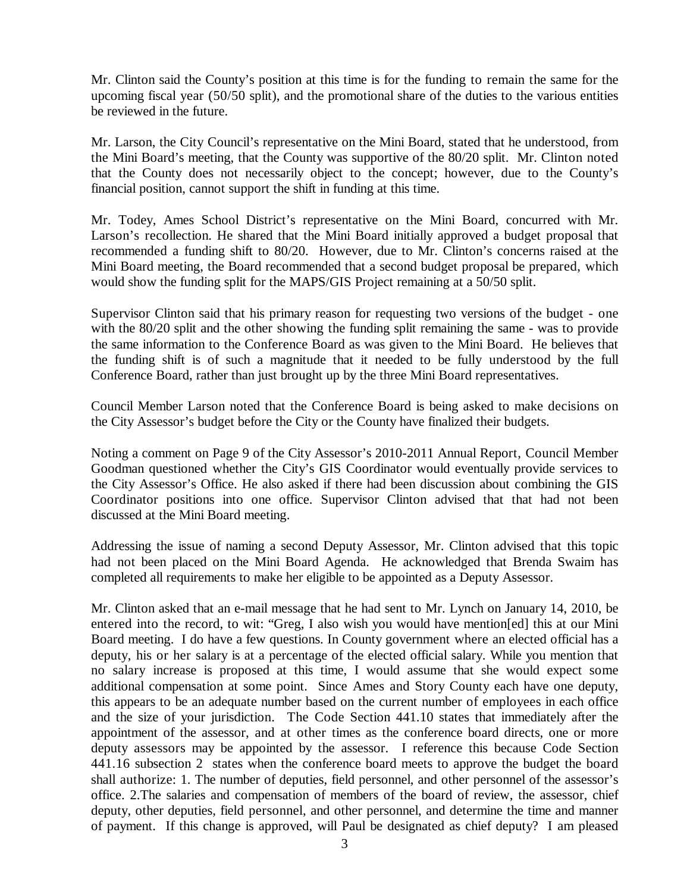Mr. Clinton said the County's position at this time is for the funding to remain the same for the upcoming fiscal year (50/50 split), and the promotional share of the duties to the various entities be reviewed in the future.

Mr. Larson, the City Council's representative on the Mini Board, stated that he understood, from the Mini Board's meeting, that the County was supportive of the 80/20 split. Mr. Clinton noted that the County does not necessarily object to the concept; however, due to the County's financial position, cannot support the shift in funding at this time.

Mr. Todey, Ames School District's representative on the Mini Board, concurred with Mr. Larson's recollection. He shared that the Mini Board initially approved a budget proposal that recommended a funding shift to 80/20. However, due to Mr. Clinton's concerns raised at the Mini Board meeting, the Board recommended that a second budget proposal be prepared, which would show the funding split for the MAPS/GIS Project remaining at a 50/50 split.

Supervisor Clinton said that his primary reason for requesting two versions of the budget - one with the 80/20 split and the other showing the funding split remaining the same - was to provide the same information to the Conference Board as was given to the Mini Board. He believes that the funding shift is of such a magnitude that it needed to be fully understood by the full Conference Board, rather than just brought up by the three Mini Board representatives.

Council Member Larson noted that the Conference Board is being asked to make decisions on the City Assessor's budget before the City or the County have finalized their budgets.

Noting a comment on Page 9 of the City Assessor's 2010-2011 Annual Report, Council Member Goodman questioned whether the City's GIS Coordinator would eventually provide services to the City Assessor's Office. He also asked if there had been discussion about combining the GIS Coordinator positions into one office. Supervisor Clinton advised that that had not been discussed at the Mini Board meeting.

Addressing the issue of naming a second Deputy Assessor, Mr. Clinton advised that this topic had not been placed on the Mini Board Agenda. He acknowledged that Brenda Swaim has completed all requirements to make her eligible to be appointed as a Deputy Assessor.

Mr. Clinton asked that an e-mail message that he had sent to Mr. Lynch on January 14, 2010, be entered into the record, to wit: "Greg, I also wish you would have mention[ed] this at our Mini Board meeting. I do have a few questions. In County government where an elected official has a deputy, his or her salary is at a percentage of the elected official salary. While you mention that no salary increase is proposed at this time, I would assume that she would expect some additional compensation at some point. Since Ames and Story County each have one deputy, this appears to be an adequate number based on the current number of employees in each office and the size of your jurisdiction. The Code Section 441.10 states that immediately after the appointment of the assessor, and at other times as the conference board directs, one or more deputy assessors may be appointed by the assessor. I reference this because Code Section 441.16 subsection 2 states when the conference board meets to approve the budget the board shall authorize: 1. The number of deputies, field personnel, and other personnel of the assessor's office. 2.The salaries and compensation of members of the board of review, the assessor, chief deputy, other deputies, field personnel, and other personnel, and determine the time and manner of payment. If this change is approved, will Paul be designated as chief deputy? I am pleased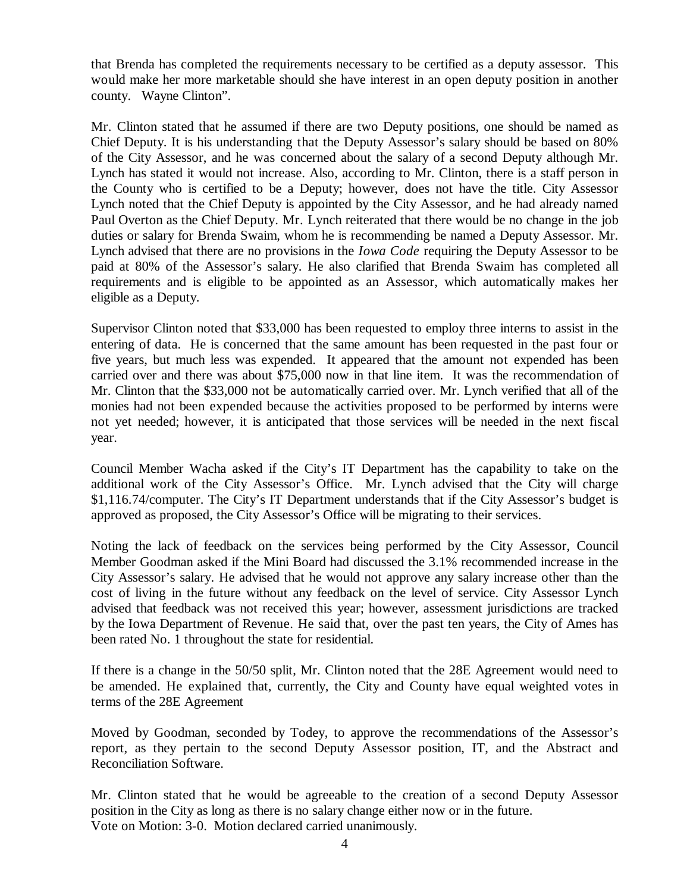that Brenda has completed the requirements necessary to be certified as a deputy assessor. This would make her more marketable should she have interest in an open deputy position in another county. Wayne Clinton".

Mr. Clinton stated that he assumed if there are two Deputy positions, one should be named as Chief Deputy. It is his understanding that the Deputy Assessor's salary should be based on 80% of the City Assessor, and he was concerned about the salary of a second Deputy although Mr. Lynch has stated it would not increase. Also, according to Mr. Clinton, there is a staff person in the County who is certified to be a Deputy; however, does not have the title. City Assessor Lynch noted that the Chief Deputy is appointed by the City Assessor, and he had already named Paul Overton as the Chief Deputy. Mr. Lynch reiterated that there would be no change in the job duties or salary for Brenda Swaim, whom he is recommending be named a Deputy Assessor. Mr. Lynch advised that there are no provisions in the *Iowa Code* requiring the Deputy Assessor to be paid at 80% of the Assessor's salary. He also clarified that Brenda Swaim has completed all requirements and is eligible to be appointed as an Assessor, which automatically makes her eligible as a Deputy.

Supervisor Clinton noted that \$33,000 has been requested to employ three interns to assist in the entering of data. He is concerned that the same amount has been requested in the past four or five years, but much less was expended. It appeared that the amount not expended has been carried over and there was about \$75,000 now in that line item. It was the recommendation of Mr. Clinton that the \$33,000 not be automatically carried over. Mr. Lynch verified that all of the monies had not been expended because the activities proposed to be performed by interns were not yet needed; however, it is anticipated that those services will be needed in the next fiscal year.

Council Member Wacha asked if the City's IT Department has the capability to take on the additional work of the City Assessor's Office. Mr. Lynch advised that the City will charge \$1,116.74/computer. The City's IT Department understands that if the City Assessor's budget is approved as proposed, the City Assessor's Office will be migrating to their services.

Noting the lack of feedback on the services being performed by the City Assessor, Council Member Goodman asked if the Mini Board had discussed the 3.1% recommended increase in the City Assessor's salary. He advised that he would not approve any salary increase other than the cost of living in the future without any feedback on the level of service. City Assessor Lynch advised that feedback was not received this year; however, assessment jurisdictions are tracked by the Iowa Department of Revenue. He said that, over the past ten years, the City of Ames has been rated No. 1 throughout the state for residential.

If there is a change in the 50/50 split, Mr. Clinton noted that the 28E Agreement would need to be amended. He explained that, currently, the City and County have equal weighted votes in terms of the 28E Agreement

Moved by Goodman, seconded by Todey, to approve the recommendations of the Assessor's report, as they pertain to the second Deputy Assessor position, IT, and the Abstract and Reconciliation Software.

Mr. Clinton stated that he would be agreeable to the creation of a second Deputy Assessor position in the City as long as there is no salary change either now or in the future. Vote on Motion: 3-0. Motion declared carried unanimously.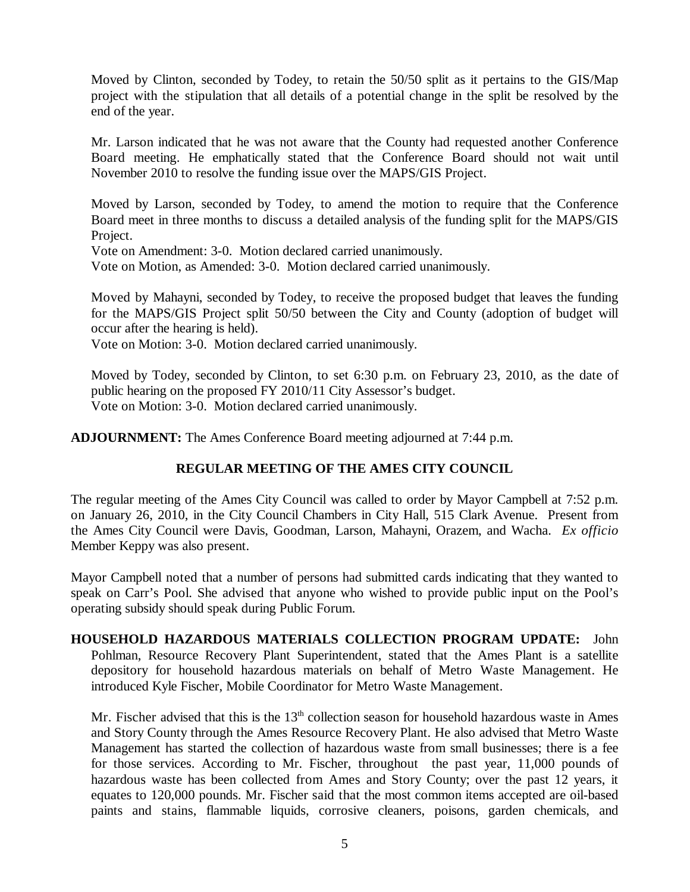Moved by Clinton, seconded by Todey, to retain the 50/50 split as it pertains to the GIS/Map project with the stipulation that all details of a potential change in the split be resolved by the end of the year.

Mr. Larson indicated that he was not aware that the County had requested another Conference Board meeting. He emphatically stated that the Conference Board should not wait until November 2010 to resolve the funding issue over the MAPS/GIS Project.

Moved by Larson, seconded by Todey, to amend the motion to require that the Conference Board meet in three months to discuss a detailed analysis of the funding split for the MAPS/GIS Project.

Vote on Amendment: 3-0. Motion declared carried unanimously.

Vote on Motion, as Amended: 3-0. Motion declared carried unanimously.

Moved by Mahayni, seconded by Todey, to receive the proposed budget that leaves the funding for the MAPS/GIS Project split 50/50 between the City and County (adoption of budget will occur after the hearing is held).

Vote on Motion: 3-0. Motion declared carried unanimously.

Moved by Todey, seconded by Clinton, to set 6:30 p.m. on February 23, 2010, as the date of public hearing on the proposed FY 2010/11 City Assessor's budget. Vote on Motion: 3-0. Motion declared carried unanimously.

**ADJOURNMENT:** The Ames Conference Board meeting adjourned at 7:44 p.m.

# **REGULAR MEETING OF THE AMES CITY COUNCIL**

The regular meeting of the Ames City Council was called to order by Mayor Campbell at 7:52 p.m. on January 26, 2010, in the City Council Chambers in City Hall, 515 Clark Avenue. Present from the Ames City Council were Davis, Goodman, Larson, Mahayni, Orazem, and Wacha. *Ex officio* Member Keppy was also present.

Mayor Campbell noted that a number of persons had submitted cards indicating that they wanted to speak on Carr's Pool. She advised that anyone who wished to provide public input on the Pool's operating subsidy should speak during Public Forum.

**HOUSEHOLD HAZARDOUS MATERIALS COLLECTION PROGRAM UPDATE:** John Pohlman, Resource Recovery Plant Superintendent, stated that the Ames Plant is a satellite depository for household hazardous materials on behalf of Metro Waste Management. He introduced Kyle Fischer, Mobile Coordinator for Metro Waste Management.

Mr. Fischer advised that this is the  $13<sup>th</sup>$  collection season for household hazardous waste in Ames and Story County through the Ames Resource Recovery Plant. He also advised that Metro Waste Management has started the collection of hazardous waste from small businesses; there is a fee for those services. According to Mr. Fischer, throughout the past year, 11,000 pounds of hazardous waste has been collected from Ames and Story County; over the past 12 years, it equates to 120,000 pounds. Mr. Fischer said that the most common items accepted are oil-based paints and stains, flammable liquids, corrosive cleaners, poisons, garden chemicals, and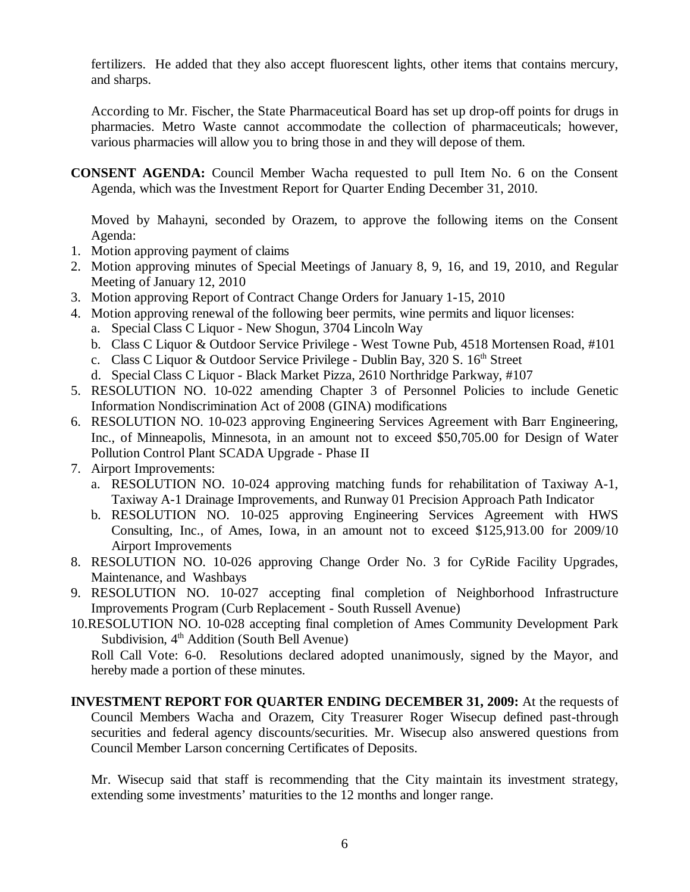fertilizers. He added that they also accept fluorescent lights, other items that contains mercury, and sharps.

According to Mr. Fischer, the State Pharmaceutical Board has set up drop-off points for drugs in pharmacies. Metro Waste cannot accommodate the collection of pharmaceuticals; however, various pharmacies will allow you to bring those in and they will depose of them.

**CONSENT AGENDA:** Council Member Wacha requested to pull Item No. 6 on the Consent Agenda, which was the Investment Report for Quarter Ending December 31, 2010.

Moved by Mahayni, seconded by Orazem, to approve the following items on the Consent Agenda:

- 1. Motion approving payment of claims
- 2. Motion approving minutes of Special Meetings of January 8, 9, 16, and 19, 2010, and Regular Meeting of January 12, 2010
- 3. Motion approving Report of Contract Change Orders for January 1-15, 2010
- 4. Motion approving renewal of the following beer permits, wine permits and liquor licenses:
	- a. Special Class C Liquor New Shogun, 3704 Lincoln Way
	- b. Class C Liquor & Outdoor Service Privilege West Towne Pub, 4518 Mortensen Road, #101
	- c. Class C Liquor & Outdoor Service Privilege Dublin Bay, 320 S.  $16<sup>th</sup>$  Street
	- d. Special Class C Liquor Black Market Pizza, 2610 Northridge Parkway, #107
- 5. RESOLUTION NO. 10-022 amending Chapter 3 of Personnel Policies to include Genetic Information Nondiscrimination Act of 2008 (GINA) modifications
- 6. RESOLUTION NO. 10-023 approving Engineering Services Agreement with Barr Engineering, Inc., of Minneapolis, Minnesota, in an amount not to exceed \$50,705.00 for Design of Water Pollution Control Plant SCADA Upgrade - Phase II
- 7. Airport Improvements:
	- a. RESOLUTION NO. 10-024 approving matching funds for rehabilitation of Taxiway A-1, Taxiway A-1 Drainage Improvements, and Runway 01 Precision Approach Path Indicator
	- b. RESOLUTION NO. 10-025 approving Engineering Services Agreement with HWS Consulting, Inc., of Ames, Iowa, in an amount not to exceed \$125,913.00 for 2009/10 Airport Improvements
- 8. RESOLUTION NO. 10-026 approving Change Order No. 3 for CyRide Facility Upgrades, Maintenance, and Washbays
- 9. RESOLUTION NO. 10-027 accepting final completion of Neighborhood Infrastructure Improvements Program (Curb Replacement - South Russell Avenue)
- 10.RESOLUTION NO. 10-028 accepting final completion of Ames Community Development Park Subdivision,  $4<sup>th</sup>$  Addition (South Bell Avenue)

Roll Call Vote: 6-0. Resolutions declared adopted unanimously, signed by the Mayor, and hereby made a portion of these minutes.

**INVESTMENT REPORT FOR QUARTER ENDING DECEMBER 31, 2009:** At the requests of Council Members Wacha and Orazem, City Treasurer Roger Wisecup defined past-through securities and federal agency discounts/securities. Mr. Wisecup also answered questions from Council Member Larson concerning Certificates of Deposits.

Mr. Wisecup said that staff is recommending that the City maintain its investment strategy, extending some investments' maturities to the 12 months and longer range.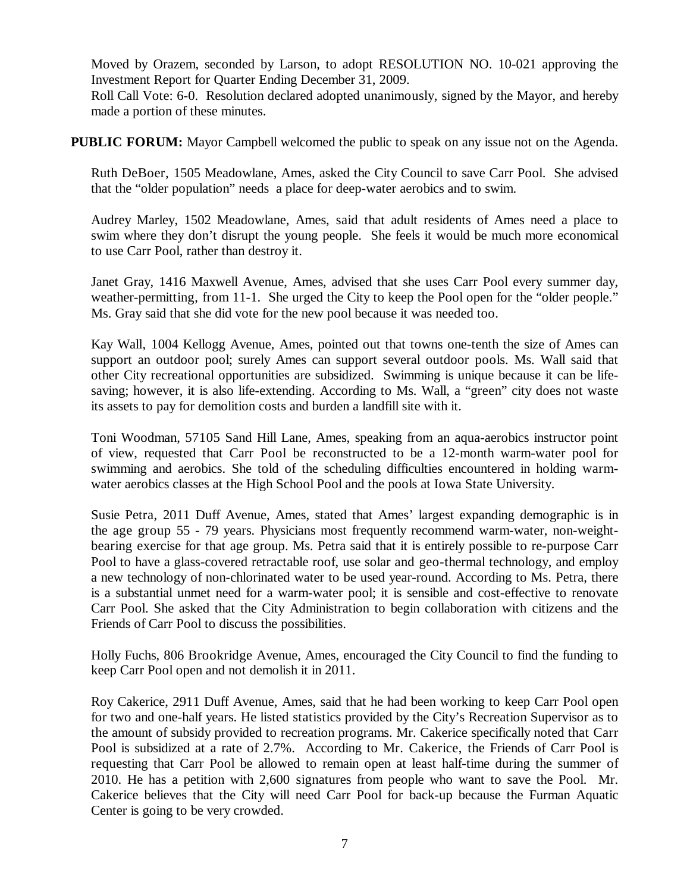Moved by Orazem, seconded by Larson, to adopt RESOLUTION NO. 10-021 approving the Investment Report for Quarter Ending December 31, 2009.

Roll Call Vote: 6-0. Resolution declared adopted unanimously, signed by the Mayor, and hereby made a portion of these minutes.

**PUBLIC FORUM:** Mayor Campbell welcomed the public to speak on any issue not on the Agenda.

Ruth DeBoer, 1505 Meadowlane, Ames, asked the City Council to save Carr Pool. She advised that the "older population" needs a place for deep-water aerobics and to swim.

Audrey Marley, 1502 Meadowlane, Ames, said that adult residents of Ames need a place to swim where they don't disrupt the young people. She feels it would be much more economical to use Carr Pool, rather than destroy it.

Janet Gray, 1416 Maxwell Avenue, Ames, advised that she uses Carr Pool every summer day, weather-permitting, from 11-1. She urged the City to keep the Pool open for the "older people." Ms. Gray said that she did vote for the new pool because it was needed too.

Kay Wall, 1004 Kellogg Avenue, Ames, pointed out that towns one-tenth the size of Ames can support an outdoor pool; surely Ames can support several outdoor pools. Ms. Wall said that other City recreational opportunities are subsidized. Swimming is unique because it can be lifesaving; however, it is also life-extending. According to Ms. Wall, a "green" city does not waste its assets to pay for demolition costs and burden a landfill site with it.

Toni Woodman, 57105 Sand Hill Lane, Ames, speaking from an aqua-aerobics instructor point of view, requested that Carr Pool be reconstructed to be a 12-month warm-water pool for swimming and aerobics. She told of the scheduling difficulties encountered in holding warmwater aerobics classes at the High School Pool and the pools at Iowa State University.

Susie Petra, 2011 Duff Avenue, Ames, stated that Ames' largest expanding demographic is in the age group 55 - 79 years. Physicians most frequently recommend warm-water, non-weightbearing exercise for that age group. Ms. Petra said that it is entirely possible to re-purpose Carr Pool to have a glass-covered retractable roof, use solar and geo-thermal technology, and employ a new technology of non-chlorinated water to be used year-round. According to Ms. Petra, there is a substantial unmet need for a warm-water pool; it is sensible and cost-effective to renovate Carr Pool. She asked that the City Administration to begin collaboration with citizens and the Friends of Carr Pool to discuss the possibilities.

Holly Fuchs, 806 Brookridge Avenue, Ames, encouraged the City Council to find the funding to keep Carr Pool open and not demolish it in 2011.

Roy Cakerice, 2911 Duff Avenue, Ames, said that he had been working to keep Carr Pool open for two and one-half years. He listed statistics provided by the City's Recreation Supervisor as to the amount of subsidy provided to recreation programs. Mr. Cakerice specifically noted that Carr Pool is subsidized at a rate of 2.7%. According to Mr. Cakerice, the Friends of Carr Pool is requesting that Carr Pool be allowed to remain open at least half-time during the summer of 2010. He has a petition with 2,600 signatures from people who want to save the Pool. Mr. Cakerice believes that the City will need Carr Pool for back-up because the Furman Aquatic Center is going to be very crowded.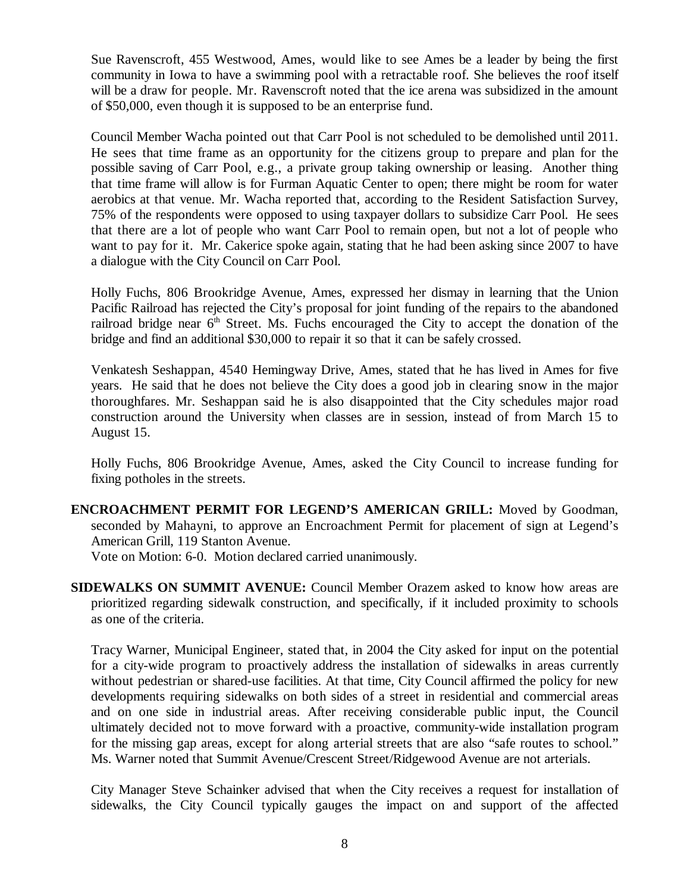Sue Ravenscroft, 455 Westwood, Ames, would like to see Ames be a leader by being the first community in Iowa to have a swimming pool with a retractable roof. She believes the roof itself will be a draw for people. Mr. Ravenscroft noted that the ice arena was subsidized in the amount of \$50,000, even though it is supposed to be an enterprise fund.

Council Member Wacha pointed out that Carr Pool is not scheduled to be demolished until 2011. He sees that time frame as an opportunity for the citizens group to prepare and plan for the possible saving of Carr Pool, e.g., a private group taking ownership or leasing. Another thing that time frame will allow is for Furman Aquatic Center to open; there might be room for water aerobics at that venue. Mr. Wacha reported that, according to the Resident Satisfaction Survey, 75% of the respondents were opposed to using taxpayer dollars to subsidize Carr Pool. He sees that there are a lot of people who want Carr Pool to remain open, but not a lot of people who want to pay for it. Mr. Cakerice spoke again, stating that he had been asking since 2007 to have a dialogue with the City Council on Carr Pool.

Holly Fuchs, 806 Brookridge Avenue, Ames, expressed her dismay in learning that the Union Pacific Railroad has rejected the City's proposal for joint funding of the repairs to the abandoned railroad bridge near  $6<sup>th</sup>$  Street. Ms. Fuchs encouraged the City to accept the donation of the bridge and find an additional \$30,000 to repair it so that it can be safely crossed.

Venkatesh Seshappan, 4540 Hemingway Drive, Ames, stated that he has lived in Ames for five years. He said that he does not believe the City does a good job in clearing snow in the major thoroughfares. Mr. Seshappan said he is also disappointed that the City schedules major road construction around the University when classes are in session, instead of from March 15 to August 15.

Holly Fuchs, 806 Brookridge Avenue, Ames, asked the City Council to increase funding for fixing potholes in the streets.

**ENCROACHMENT PERMIT FOR LEGEND'S AMERICAN GRILL:** Moved by Goodman, seconded by Mahayni, to approve an Encroachment Permit for placement of sign at Legend's American Grill, 119 Stanton Avenue.

Vote on Motion: 6-0. Motion declared carried unanimously.

**SIDEWALKS ON SUMMIT AVENUE:** Council Member Orazem asked to know how areas are prioritized regarding sidewalk construction, and specifically, if it included proximity to schools as one of the criteria.

Tracy Warner, Municipal Engineer, stated that, in 2004 the City asked for input on the potential for a city-wide program to proactively address the installation of sidewalks in areas currently without pedestrian or shared-use facilities. At that time, City Council affirmed the policy for new developments requiring sidewalks on both sides of a street in residential and commercial areas and on one side in industrial areas. After receiving considerable public input, the Council ultimately decided not to move forward with a proactive, community-wide installation program for the missing gap areas, except for along arterial streets that are also "safe routes to school." Ms. Warner noted that Summit Avenue/Crescent Street/Ridgewood Avenue are not arterials.

City Manager Steve Schainker advised that when the City receives a request for installation of sidewalks, the City Council typically gauges the impact on and support of the affected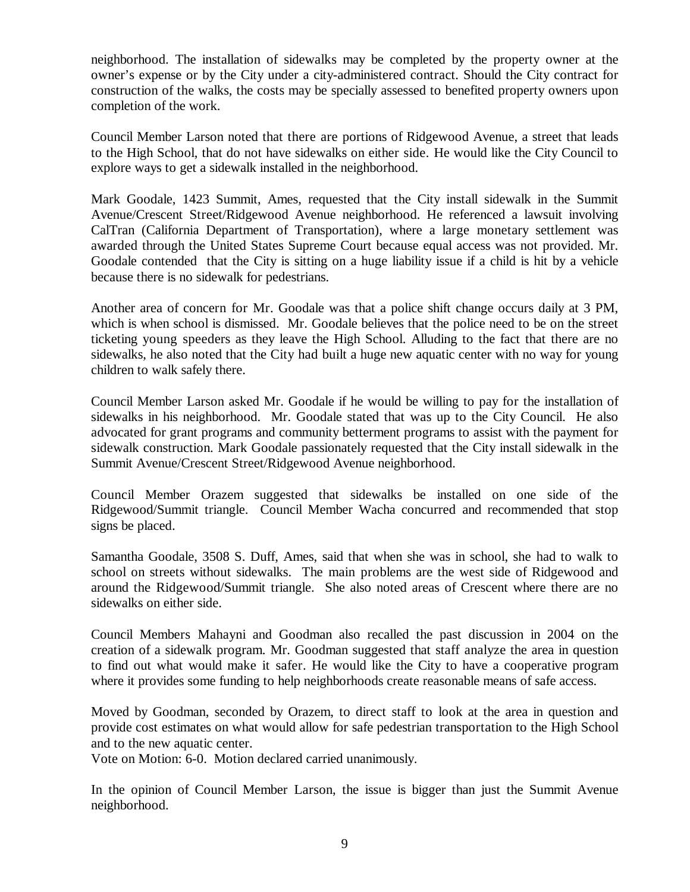neighborhood. The installation of sidewalks may be completed by the property owner at the owner's expense or by the City under a city-administered contract. Should the City contract for construction of the walks, the costs may be specially assessed to benefited property owners upon completion of the work.

Council Member Larson noted that there are portions of Ridgewood Avenue, a street that leads to the High School, that do not have sidewalks on either side. He would like the City Council to explore ways to get a sidewalk installed in the neighborhood.

Mark Goodale, 1423 Summit, Ames, requested that the City install sidewalk in the Summit Avenue/Crescent Street/Ridgewood Avenue neighborhood. He referenced a lawsuit involving CalTran (California Department of Transportation), where a large monetary settlement was awarded through the United States Supreme Court because equal access was not provided. Mr. Goodale contended that the City is sitting on a huge liability issue if a child is hit by a vehicle because there is no sidewalk for pedestrians.

Another area of concern for Mr. Goodale was that a police shift change occurs daily at 3 PM, which is when school is dismissed. Mr. Goodale believes that the police need to be on the street ticketing young speeders as they leave the High School. Alluding to the fact that there are no sidewalks, he also noted that the City had built a huge new aquatic center with no way for young children to walk safely there.

Council Member Larson asked Mr. Goodale if he would be willing to pay for the installation of sidewalks in his neighborhood. Mr. Goodale stated that was up to the City Council. He also advocated for grant programs and community betterment programs to assist with the payment for sidewalk construction. Mark Goodale passionately requested that the City install sidewalk in the Summit Avenue/Crescent Street/Ridgewood Avenue neighborhood.

Council Member Orazem suggested that sidewalks be installed on one side of the Ridgewood/Summit triangle. Council Member Wacha concurred and recommended that stop signs be placed.

Samantha Goodale, 3508 S. Duff, Ames, said that when she was in school, she had to walk to school on streets without sidewalks. The main problems are the west side of Ridgewood and around the Ridgewood/Summit triangle. She also noted areas of Crescent where there are no sidewalks on either side.

Council Members Mahayni and Goodman also recalled the past discussion in 2004 on the creation of a sidewalk program. Mr. Goodman suggested that staff analyze the area in question to find out what would make it safer. He would like the City to have a cooperative program where it provides some funding to help neighborhoods create reasonable means of safe access.

Moved by Goodman, seconded by Orazem, to direct staff to look at the area in question and provide cost estimates on what would allow for safe pedestrian transportation to the High School and to the new aquatic center.

Vote on Motion: 6-0. Motion declared carried unanimously.

In the opinion of Council Member Larson, the issue is bigger than just the Summit Avenue neighborhood.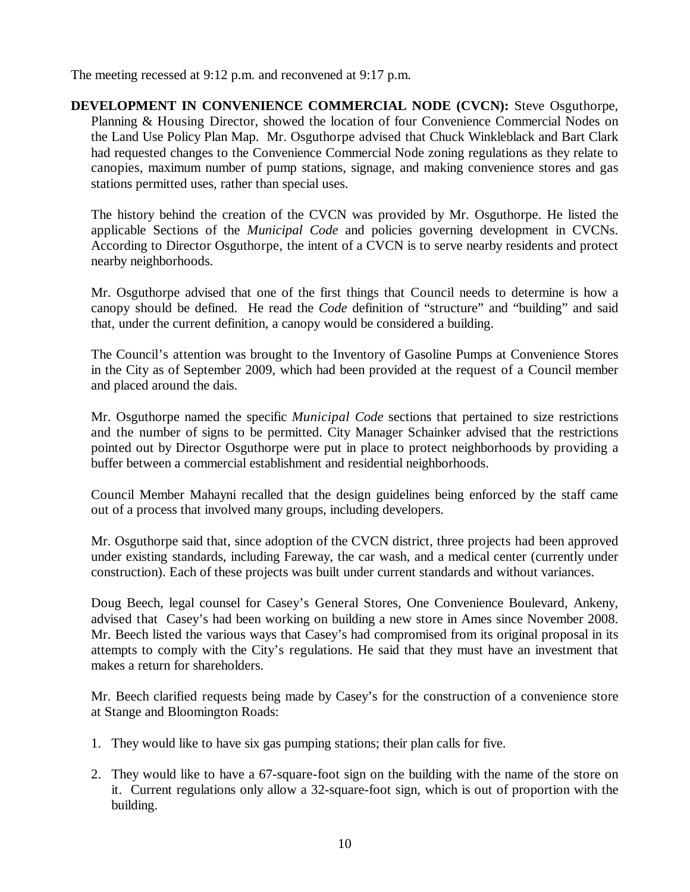The meeting recessed at 9:12 p.m. and reconvened at 9:17 p.m.

**DEVELOPMENT IN CONVENIENCE COMMERCIAL NODE (CVCN):** Steve Osguthorpe, Planning & Housing Director, showed the location of four Convenience Commercial Nodes on the Land Use Policy Plan Map. Mr. Osguthorpe advised that Chuck Winkleblack and Bart Clark had requested changes to the Convenience Commercial Node zoning regulations as they relate to canopies, maximum number of pump stations, signage, and making convenience stores and gas stations permitted uses, rather than special uses.

The history behind the creation of the CVCN was provided by Mr. Osguthorpe. He listed the applicable Sections of the *Municipal Code* and policies governing development in CVCNs. According to Director Osguthorpe, the intent of a CVCN is to serve nearby residents and protect nearby neighborhoods.

Mr. Osguthorpe advised that one of the first things that Council needs to determine is how a canopy should be defined. He read the *Code* definition of "structure" and "building" and said that, under the current definition, a canopy would be considered a building.

The Council's attention was brought to the Inventory of Gasoline Pumps at Convenience Stores in the City as of September 2009, which had been provided at the request of a Council member and placed around the dais.

Mr. Osguthorpe named the specific *Municipal Code* sections that pertained to size restrictions and the number of signs to be permitted. City Manager Schainker advised that the restrictions pointed out by Director Osguthorpe were put in place to protect neighborhoods by providing a buffer between a commercial establishment and residential neighborhoods.

Council Member Mahayni recalled that the design guidelines being enforced by the staff came out of a process that involved many groups, including developers.

Mr. Osguthorpe said that, since adoption of the CVCN district, three projects had been approved under existing standards, including Fareway, the car wash, and a medical center (currently under construction). Each of these projects was built under current standards and without variances.

Doug Beech, legal counsel for Casey's General Stores, One Convenience Boulevard, Ankeny, advised that Casey's had been working on building a new store in Ames since November 2008. Mr. Beech listed the various ways that Casey's had compromised from its original proposal in its attempts to comply with the City's regulations. He said that they must have an investment that makes a return for shareholders.

Mr. Beech clarified requests being made by Casey's for the construction of a convenience store at Stange and Bloomington Roads:

- 1. They would like to have six gas pumping stations; their plan calls for five.
- 2. They would like to have a 67-square-foot sign on the building with the name of the store on it. Current regulations only allow a 32-square-foot sign, which is out of proportion with the building.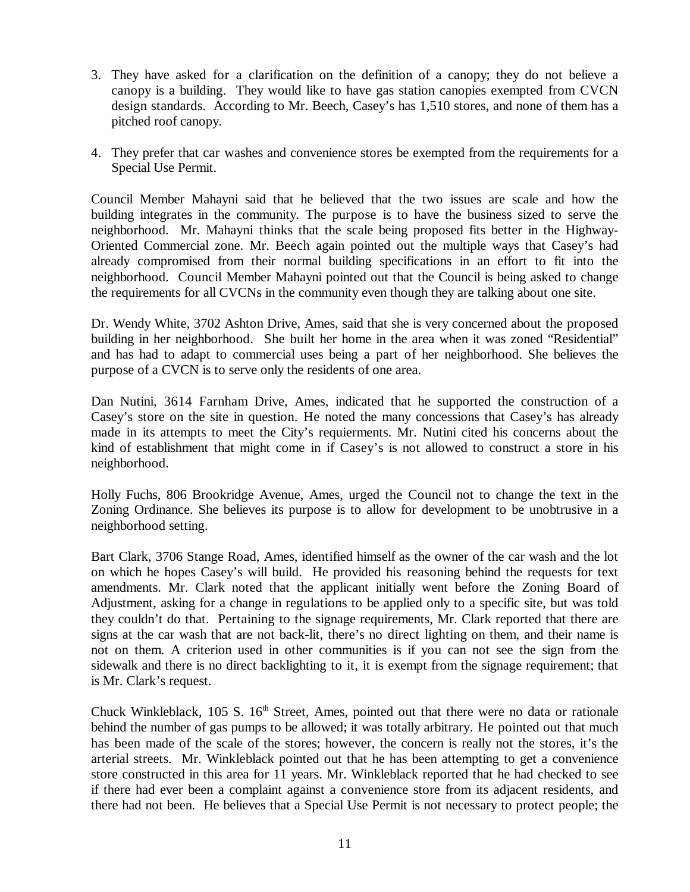- 3. They have asked for a clarification on the definition of a canopy; they do not believe a canopy is a building. They would like to have gas station canopies exempted from CVCN design standards. According to Mr. Beech, Casey's has 1,510 stores, and none of them has a pitched roof canopy.
- 4. They prefer that car washes and convenience stores be exempted from the requirements for a Special Use Permit.

Council Member Mahayni said that he believed that the two issues are scale and how the building integrates in the community. The purpose is to have the business sized to serve the neighborhood. Mr. Mahayni thinks that the scale being proposed fits better in the Highway-Oriented Commercial zone. Mr. Beech again pointed out the multiple ways that Casey's had already compromised from their normal building specifications in an effort to fit into the neighborhood. Council Member Mahayni pointed out that the Council is being asked to change the requirements for all CVCNs in the community even though they are talking about one site.

Dr. Wendy White, 3702 Ashton Drive, Ames, said that she is very concerned about the proposed building in her neighborhood. She built her home in the area when it was zoned "Residential" and has had to adapt to commercial uses being a part of her neighborhood. She believes the purpose of a CVCN is to serve only the residents of one area.

Dan Nutini, 3614 Farnham Drive, Ames, indicated that he supported the construction of a Casey's store on the site in question. He noted the many concessions that Casey's has already made in its attempts to meet the City's requierments. Mr. Nutini cited his concerns about the kind of establishment that might come in if Casey's is not allowed to construct a store in his neighborhood.

Holly Fuchs, 806 Brookridge Avenue, Ames, urged the Council not to change the text in the Zoning Ordinance. She believes its purpose is to allow for development to be unobtrusive in a neighborhood setting.

Bart Clark, 3706 Stange Road, Ames, identified himself as the owner of the car wash and the lot on which he hopes Casey's will build. He provided his reasoning behind the requests for text amendments. Mr. Clark noted that the applicant initially went before the Zoning Board of Adjustment, asking for a change in regulations to be applied only to a specific site, but was told they couldn't do that. Pertaining to the signage requirements, Mr. Clark reported that there are signs at the car wash that are not back-lit, there's no direct lighting on them, and their name is not on them. A criterion used in other communities is if you can not see the sign from the sidewalk and there is no direct backlighting to it, it is exempt from the signage requirement; that is Mr. Clark's request.

Chuck Winkleblack,  $105$  S.  $16<sup>th</sup>$  Street, Ames, pointed out that there were no data or rationale behind the number of gas pumps to be allowed; it was totally arbitrary. He pointed out that much has been made of the scale of the stores; however, the concern is really not the stores, it's the arterial streets. Mr. Winkleblack pointed out that he has been attempting to get a convenience store constructed in this area for 11 years. Mr. Winkleblack reported that he had checked to see if there had ever been a complaint against a convenience store from its adjacent residents, and there had not been. He believes that a Special Use Permit is not necessary to protect people; the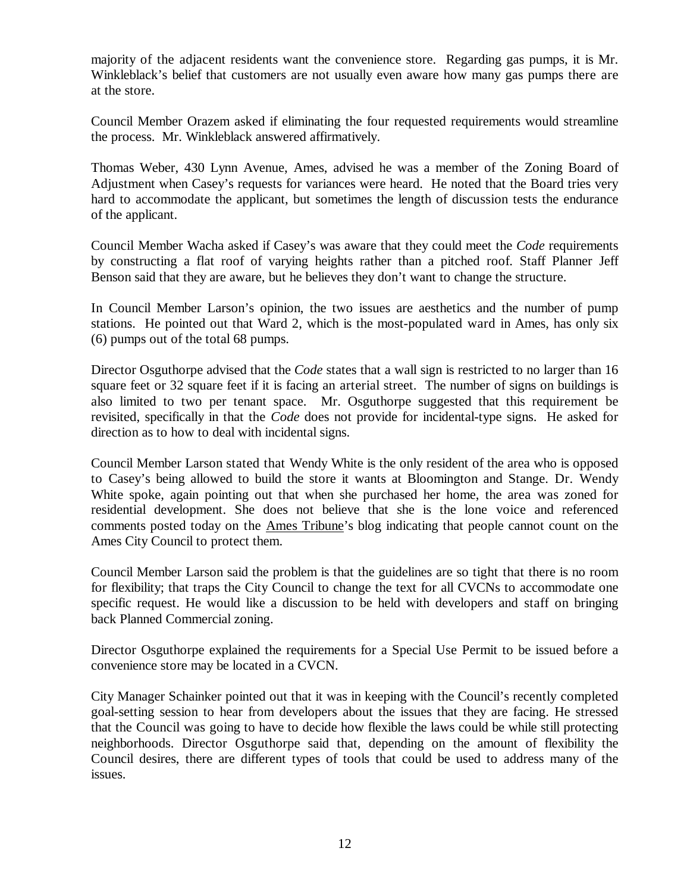majority of the adjacent residents want the convenience store. Regarding gas pumps, it is Mr. Winkleblack's belief that customers are not usually even aware how many gas pumps there are at the store.

Council Member Orazem asked if eliminating the four requested requirements would streamline the process. Mr. Winkleblack answered affirmatively.

Thomas Weber, 430 Lynn Avenue, Ames, advised he was a member of the Zoning Board of Adjustment when Casey's requests for variances were heard. He noted that the Board tries very hard to accommodate the applicant, but sometimes the length of discussion tests the endurance of the applicant.

Council Member Wacha asked if Casey's was aware that they could meet the *Code* requirements by constructing a flat roof of varying heights rather than a pitched roof. Staff Planner Jeff Benson said that they are aware, but he believes they don't want to change the structure.

In Council Member Larson's opinion, the two issues are aesthetics and the number of pump stations. He pointed out that Ward 2, which is the most-populated ward in Ames, has only six (6) pumps out of the total 68 pumps.

Director Osguthorpe advised that the *Code* states that a wall sign is restricted to no larger than 16 square feet or 32 square feet if it is facing an arterial street. The number of signs on buildings is also limited to two per tenant space. Mr. Osguthorpe suggested that this requirement be revisited, specifically in that the *Code* does not provide for incidental-type signs. He asked for direction as to how to deal with incidental signs.

Council Member Larson stated that Wendy White is the only resident of the area who is opposed to Casey's being allowed to build the store it wants at Bloomington and Stange. Dr. Wendy White spoke, again pointing out that when she purchased her home, the area was zoned for residential development. She does not believe that she is the lone voice and referenced comments posted today on the Ames Tribune's blog indicating that people cannot count on the Ames City Council to protect them.

Council Member Larson said the problem is that the guidelines are so tight that there is no room for flexibility; that traps the City Council to change the text for all CVCNs to accommodate one specific request. He would like a discussion to be held with developers and staff on bringing back Planned Commercial zoning.

Director Osguthorpe explained the requirements for a Special Use Permit to be issued before a convenience store may be located in a CVCN.

City Manager Schainker pointed out that it was in keeping with the Council's recently completed goal-setting session to hear from developers about the issues that they are facing. He stressed that the Council was going to have to decide how flexible the laws could be while still protecting neighborhoods. Director Osguthorpe said that, depending on the amount of flexibility the Council desires, there are different types of tools that could be used to address many of the issues.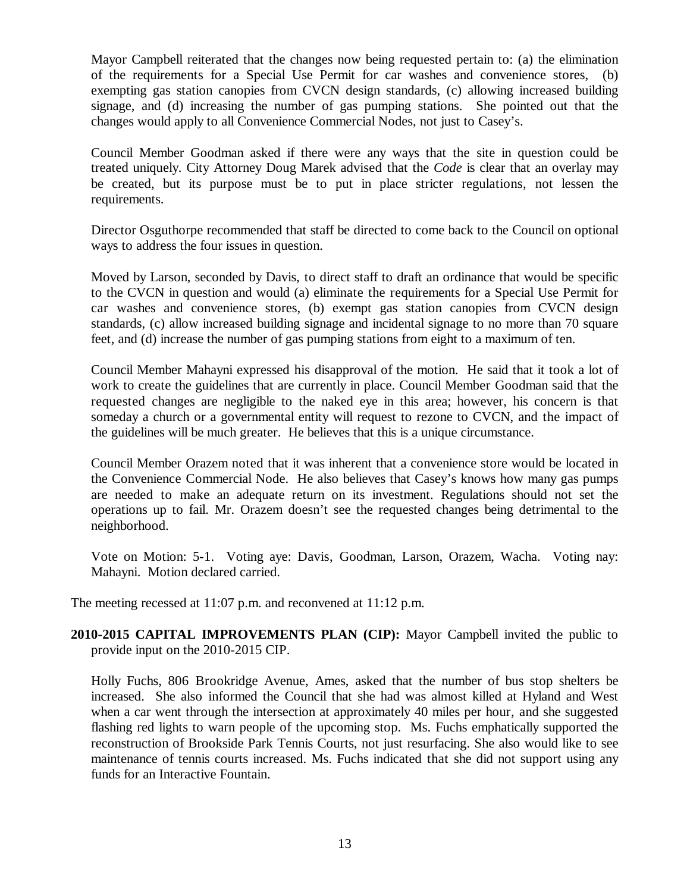Mayor Campbell reiterated that the changes now being requested pertain to: (a) the elimination of the requirements for a Special Use Permit for car washes and convenience stores, (b) exempting gas station canopies from CVCN design standards, (c) allowing increased building signage, and (d) increasing the number of gas pumping stations. She pointed out that the changes would apply to all Convenience Commercial Nodes, not just to Casey's.

Council Member Goodman asked if there were any ways that the site in question could be treated uniquely. City Attorney Doug Marek advised that the *Code* is clear that an overlay may be created, but its purpose must be to put in place stricter regulations, not lessen the requirements.

Director Osguthorpe recommended that staff be directed to come back to the Council on optional ways to address the four issues in question.

Moved by Larson, seconded by Davis, to direct staff to draft an ordinance that would be specific to the CVCN in question and would (a) eliminate the requirements for a Special Use Permit for car washes and convenience stores, (b) exempt gas station canopies from CVCN design standards, (c) allow increased building signage and incidental signage to no more than 70 square feet, and (d) increase the number of gas pumping stations from eight to a maximum of ten.

Council Member Mahayni expressed his disapproval of the motion. He said that it took a lot of work to create the guidelines that are currently in place. Council Member Goodman said that the requested changes are negligible to the naked eye in this area; however, his concern is that someday a church or a governmental entity will request to rezone to CVCN, and the impact of the guidelines will be much greater. He believes that this is a unique circumstance.

Council Member Orazem noted that it was inherent that a convenience store would be located in the Convenience Commercial Node. He also believes that Casey's knows how many gas pumps are needed to make an adequate return on its investment. Regulations should not set the operations up to fail. Mr. Orazem doesn't see the requested changes being detrimental to the neighborhood.

Vote on Motion: 5-1. Voting aye: Davis, Goodman, Larson, Orazem, Wacha. Voting nay: Mahayni. Motion declared carried.

The meeting recessed at 11:07 p.m. and reconvened at 11:12 p.m.

**2010-2015 CAPITAL IMPROVEMENTS PLAN (CIP):** Mayor Campbell invited the public to provide input on the 2010-2015 CIP.

Holly Fuchs, 806 Brookridge Avenue, Ames, asked that the number of bus stop shelters be increased. She also informed the Council that she had was almost killed at Hyland and West when a car went through the intersection at approximately 40 miles per hour, and she suggested flashing red lights to warn people of the upcoming stop. Ms. Fuchs emphatically supported the reconstruction of Brookside Park Tennis Courts, not just resurfacing. She also would like to see maintenance of tennis courts increased. Ms. Fuchs indicated that she did not support using any funds for an Interactive Fountain.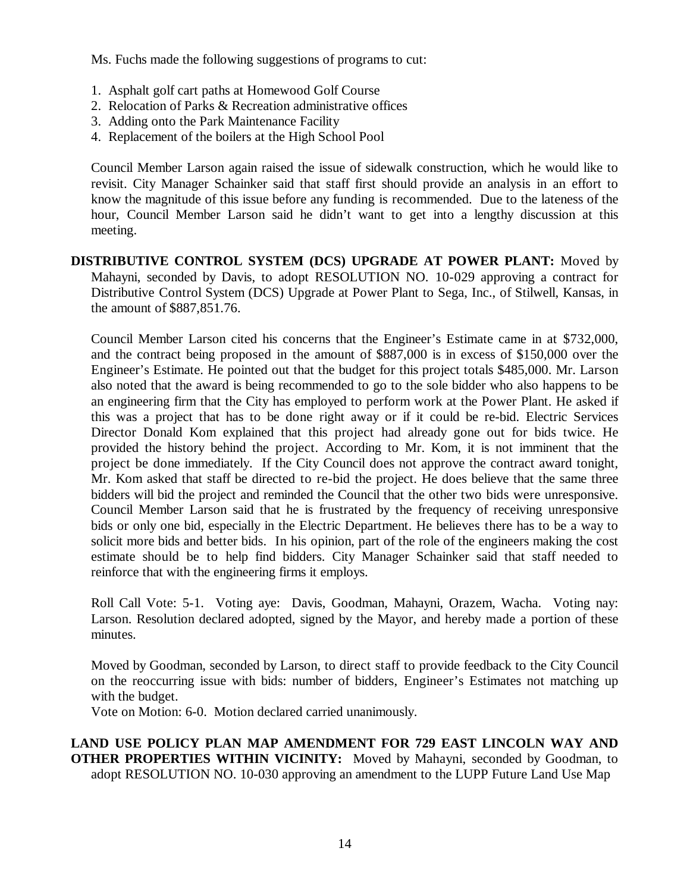Ms. Fuchs made the following suggestions of programs to cut:

- 1. Asphalt golf cart paths at Homewood Golf Course
- 2. Relocation of Parks & Recreation administrative offices
- 3. Adding onto the Park Maintenance Facility
- 4. Replacement of the boilers at the High School Pool

Council Member Larson again raised the issue of sidewalk construction, which he would like to revisit. City Manager Schainker said that staff first should provide an analysis in an effort to know the magnitude of this issue before any funding is recommended. Due to the lateness of the hour, Council Member Larson said he didn't want to get into a lengthy discussion at this meeting.

**DISTRIBUTIVE CONTROL SYSTEM (DCS) UPGRADE AT POWER PLANT:** Moved by Mahayni, seconded by Davis, to adopt RESOLUTION NO. 10-029 approving a contract for Distributive Control System (DCS) Upgrade at Power Plant to Sega, Inc., of Stilwell, Kansas, in the amount of \$887,851.76.

Council Member Larson cited his concerns that the Engineer's Estimate came in at \$732,000, and the contract being proposed in the amount of \$887,000 is in excess of \$150,000 over the Engineer's Estimate. He pointed out that the budget for this project totals \$485,000. Mr. Larson also noted that the award is being recommended to go to the sole bidder who also happens to be an engineering firm that the City has employed to perform work at the Power Plant. He asked if this was a project that has to be done right away or if it could be re-bid. Electric Services Director Donald Kom explained that this project had already gone out for bids twice. He provided the history behind the project. According to Mr. Kom, it is not imminent that the project be done immediately. If the City Council does not approve the contract award tonight, Mr. Kom asked that staff be directed to re-bid the project. He does believe that the same three bidders will bid the project and reminded the Council that the other two bids were unresponsive. Council Member Larson said that he is frustrated by the frequency of receiving unresponsive bids or only one bid, especially in the Electric Department. He believes there has to be a way to solicit more bids and better bids. In his opinion, part of the role of the engineers making the cost estimate should be to help find bidders. City Manager Schainker said that staff needed to reinforce that with the engineering firms it employs.

Roll Call Vote: 5-1. Voting aye: Davis, Goodman, Mahayni, Orazem, Wacha. Voting nay: Larson. Resolution declared adopted, signed by the Mayor, and hereby made a portion of these minutes.

Moved by Goodman, seconded by Larson, to direct staff to provide feedback to the City Council on the reoccurring issue with bids: number of bidders, Engineer's Estimates not matching up with the budget.

Vote on Motion: 6-0. Motion declared carried unanimously.

**LAND USE POLICY PLAN MAP AMENDMENT FOR 729 EAST LINCOLN WAY AND OTHER PROPERTIES WITHIN VICINITY:** Moved by Mahayni, seconded by Goodman, to adopt RESOLUTION NO. 10-030 approving an amendment to the LUPP Future Land Use Map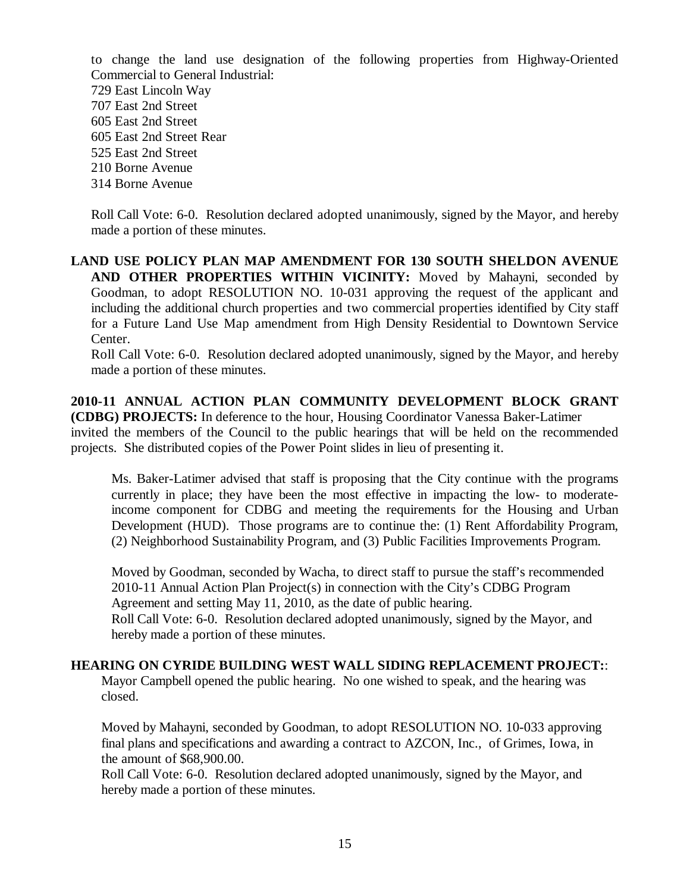to change the land use designation of the following properties from Highway-Oriented Commercial to General Industrial:

- 729 East Lincoln Way
- 707 East 2nd Street
- 605 East 2nd Street
- 605 East 2nd Street Rear
- 525 East 2nd Street
- 210 Borne Avenue
- 314 Borne Avenue

Roll Call Vote: 6-0. Resolution declared adopted unanimously, signed by the Mayor, and hereby made a portion of these minutes.

**LAND USE POLICY PLAN MAP AMENDMENT FOR 130 SOUTH SHELDON AVENUE AND OTHER PROPERTIES WITHIN VICINITY:** Moved by Mahayni, seconded by Goodman, to adopt RESOLUTION NO. 10-031 approving the request of the applicant and including the additional church properties and two commercial properties identified by City staff for a Future Land Use Map amendment from High Density Residential to Downtown Service Center.

Roll Call Vote: 6-0. Resolution declared adopted unanimously, signed by the Mayor, and hereby made a portion of these minutes.

**2010-11 ANNUAL ACTION PLAN COMMUNITY DEVELOPMENT BLOCK GRANT (CDBG) PROJECTS:** In deference to the hour, Housing Coordinator Vanessa Baker-Latimer invited the members of the Council to the public hearings that will be held on the recommended projects. She distributed copies of the Power Point slides in lieu of presenting it.

Ms. Baker-Latimer advised that staff is proposing that the City continue with the programs currently in place; they have been the most effective in impacting the low- to moderateincome component for CDBG and meeting the requirements for the Housing and Urban Development (HUD). Those programs are to continue the: (1) Rent Affordability Program, (2) Neighborhood Sustainability Program, and (3) Public Facilities Improvements Program.

Moved by Goodman, seconded by Wacha, to direct staff to pursue the staff's recommended 2010-11 Annual Action Plan Project(s) in connection with the City's CDBG Program Agreement and setting May 11, 2010, as the date of public hearing.

Roll Call Vote: 6-0. Resolution declared adopted unanimously, signed by the Mayor, and hereby made a portion of these minutes.

# **HEARING ON CYRIDE BUILDING WEST WALL SIDING REPLACEMENT PROJECT:**:

Mayor Campbell opened the public hearing. No one wished to speak, and the hearing was closed.

Moved by Mahayni, seconded by Goodman, to adopt RESOLUTION NO. 10-033 approving final plans and specifications and awarding a contract to AZCON, Inc., of Grimes, Iowa, in the amount of \$68,900.00.

Roll Call Vote: 6-0. Resolution declared adopted unanimously, signed by the Mayor, and hereby made a portion of these minutes.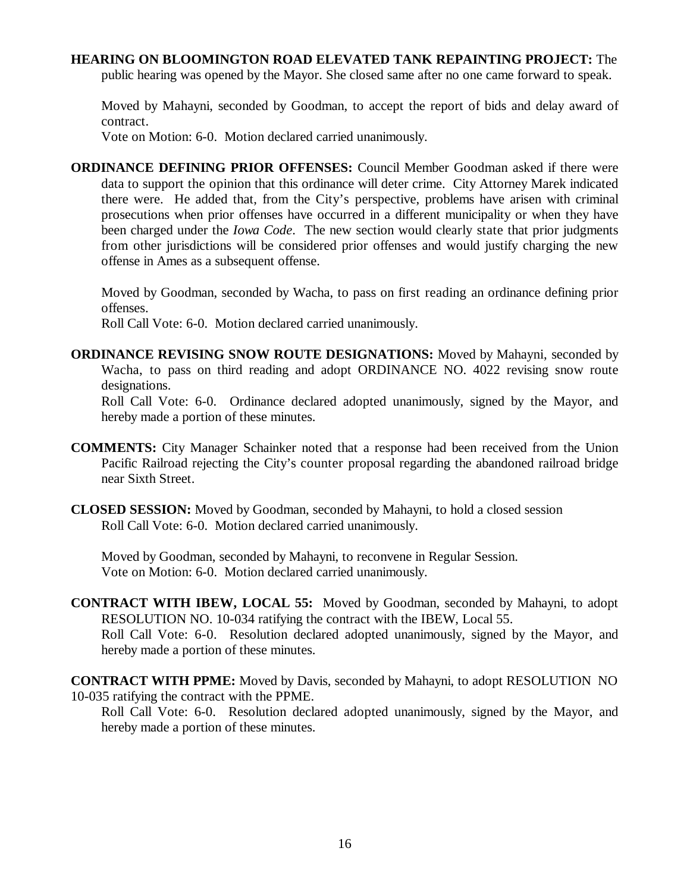#### **HEARING ON BLOOMINGTON ROAD ELEVATED TANK REPAINTING PROJECT:** The

public hearing was opened by the Mayor. She closed same after no one came forward to speak.

Moved by Mahayni, seconded by Goodman, to accept the report of bids and delay award of contract.

Vote on Motion: 6-0. Motion declared carried unanimously.

**ORDINANCE DEFINING PRIOR OFFENSES:** Council Member Goodman asked if there were data to support the opinion that this ordinance will deter crime. City Attorney Marek indicated there were. He added that, from the City's perspective, problems have arisen with criminal prosecutions when prior offenses have occurred in a different municipality or when they have been charged under the *Iowa Code*. The new section would clearly state that prior judgments from other jurisdictions will be considered prior offenses and would justify charging the new offense in Ames as a subsequent offense.

Moved by Goodman, seconded by Wacha, to pass on first reading an ordinance defining prior offenses.

Roll Call Vote: 6-0. Motion declared carried unanimously.

**ORDINANCE REVISING SNOW ROUTE DESIGNATIONS:** Moved by Mahayni, seconded by Wacha, to pass on third reading and adopt ORDINANCE NO. 4022 revising snow route designations.

Roll Call Vote: 6-0. Ordinance declared adopted unanimously, signed by the Mayor, and hereby made a portion of these minutes.

- **COMMENTS:** City Manager Schainker noted that a response had been received from the Union Pacific Railroad rejecting the City's counter proposal regarding the abandoned railroad bridge near Sixth Street.
- **CLOSED SESSION:** Moved by Goodman, seconded by Mahayni, to hold a closed session Roll Call Vote: 6-0. Motion declared carried unanimously.

Moved by Goodman, seconded by Mahayni, to reconvene in Regular Session. Vote on Motion: 6-0. Motion declared carried unanimously.

- **CONTRACT WITH IBEW, LOCAL 55:** Moved by Goodman, seconded by Mahayni, to adopt RESOLUTION NO. 10-034 ratifying the contract with the IBEW, Local 55. Roll Call Vote: 6-0. Resolution declared adopted unanimously, signed by the Mayor, and hereby made a portion of these minutes.
- **CONTRACT WITH PPME:** Moved by Davis, seconded by Mahayni, to adopt RESOLUTION NO 10-035 ratifying the contract with the PPME.

Roll Call Vote: 6-0. Resolution declared adopted unanimously, signed by the Mayor, and hereby made a portion of these minutes.